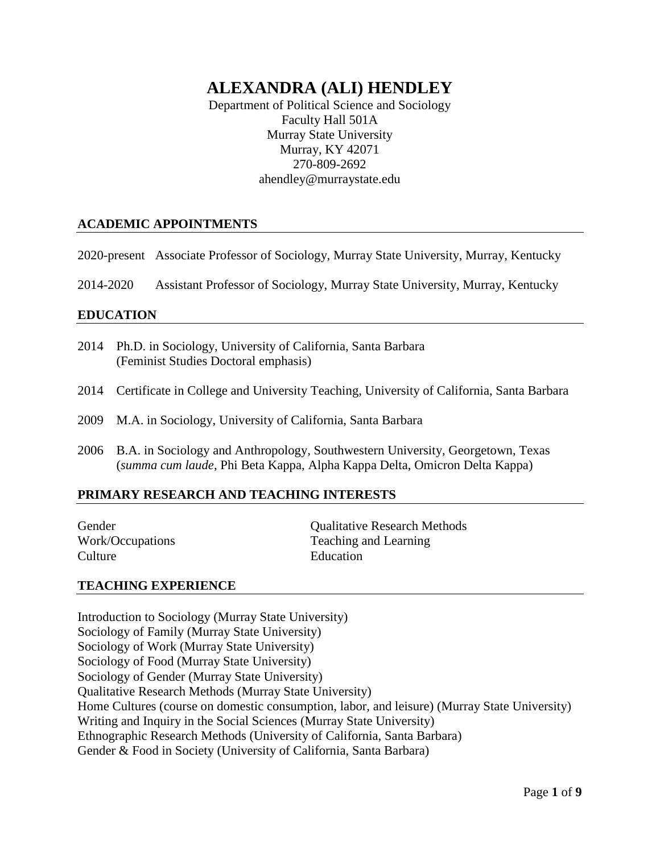# **ALEXANDRA (ALI) HENDLEY**

Department of Political Science and Sociology Faculty Hall 501A Murray State University Murray, KY 42071 270-809-2692 ahendley@murraystate.edu

### **ACADEMIC APPOINTMENTS**

2020-present Associate Professor of Sociology, Murray State University, Murray, Kentucky

2014-2020 Assistant Professor of Sociology, Murray State University, Murray, Kentucky

#### **EDUCATION**

- 2014 Ph.D. in Sociology, University of California, Santa Barbara (Feminist Studies Doctoral emphasis)
- 2014 Certificate in College and University Teaching, University of California, Santa Barbara
- 2009 M.A. in Sociology, University of California, Santa Barbara
- 2006 B.A. in Sociology and Anthropology, Southwestern University, Georgetown, Texas (*summa cum laude*, Phi Beta Kappa, Alpha Kappa Delta, Omicron Delta Kappa)

#### **PRIMARY RESEARCH AND TEACHING INTERESTS**

Culture Education

Gender Qualitative Research Methods Work/Occupations Teaching and Learning

#### **TEACHING EXPERIENCE**

Introduction to Sociology (Murray State University) Sociology of Family (Murray State University) Sociology of Work (Murray State University) Sociology of Food (Murray State University) Sociology of Gender (Murray State University) Qualitative Research Methods (Murray State University) Home Cultures (course on domestic consumption, labor, and leisure) (Murray State University) Writing and Inquiry in the Social Sciences (Murray State University) Ethnographic Research Methods (University of California, Santa Barbara) Gender & Food in Society (University of California, Santa Barbara)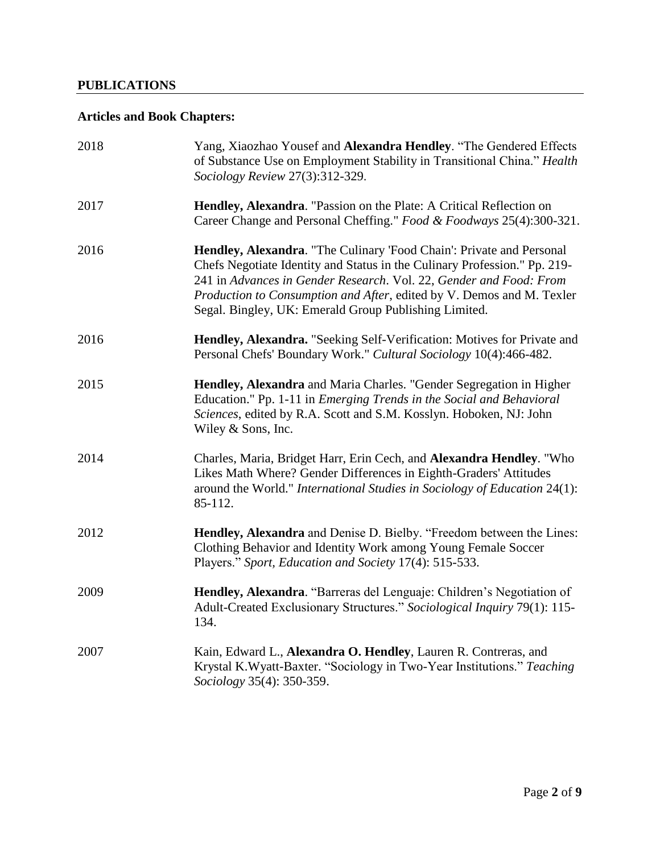### **PUBLICATIONS**

## **Articles and Book Chapters:**

| 2018 | Yang, Xiaozhao Yousef and Alexandra Hendley. "The Gendered Effects<br>of Substance Use on Employment Stability in Transitional China." Health<br>Sociology Review 27(3):312-329.                                                                                                                                                                          |
|------|-----------------------------------------------------------------------------------------------------------------------------------------------------------------------------------------------------------------------------------------------------------------------------------------------------------------------------------------------------------|
| 2017 | Hendley, Alexandra. "Passion on the Plate: A Critical Reflection on<br>Career Change and Personal Cheffing." Food & Foodways 25(4):300-321.                                                                                                                                                                                                               |
| 2016 | Hendley, Alexandra. "The Culinary 'Food Chain': Private and Personal<br>Chefs Negotiate Identity and Status in the Culinary Profession." Pp. 219-<br>241 in Advances in Gender Research. Vol. 22, Gender and Food: From<br>Production to Consumption and After, edited by V. Demos and M. Texler<br>Segal. Bingley, UK: Emerald Group Publishing Limited. |
| 2016 | Hendley, Alexandra. "Seeking Self-Verification: Motives for Private and<br>Personal Chefs' Boundary Work." Cultural Sociology 10(4):466-482.                                                                                                                                                                                                              |
| 2015 | Hendley, Alexandra and Maria Charles. "Gender Segregation in Higher<br>Education." Pp. 1-11 in <i>Emerging Trends in the Social and Behavioral</i><br>Sciences, edited by R.A. Scott and S.M. Kosslyn. Hoboken, NJ: John<br>Wiley & Sons, Inc.                                                                                                            |
| 2014 | Charles, Maria, Bridget Harr, Erin Cech, and Alexandra Hendley. "Who<br>Likes Math Where? Gender Differences in Eighth-Graders' Attitudes<br>around the World." International Studies in Sociology of Education 24(1):<br>85-112.                                                                                                                         |
| 2012 | Hendley, Alexandra and Denise D. Bielby. "Freedom between the Lines:<br>Clothing Behavior and Identity Work among Young Female Soccer<br>Players." Sport, Education and Society 17(4): 515-533.                                                                                                                                                           |
| 2009 | Hendley, Alexandra. "Barreras del Lenguaje: Children's Negotiation of<br>Adult-Created Exclusionary Structures." Sociological Inquiry 79(1): 115-<br>134.                                                                                                                                                                                                 |
| 2007 | Kain, Edward L., Alexandra O. Hendley, Lauren R. Contreras, and<br>Krystal K.Wyatt-Baxter. "Sociology in Two-Year Institutions." Teaching<br>Sociology 35(4): 350-359.                                                                                                                                                                                    |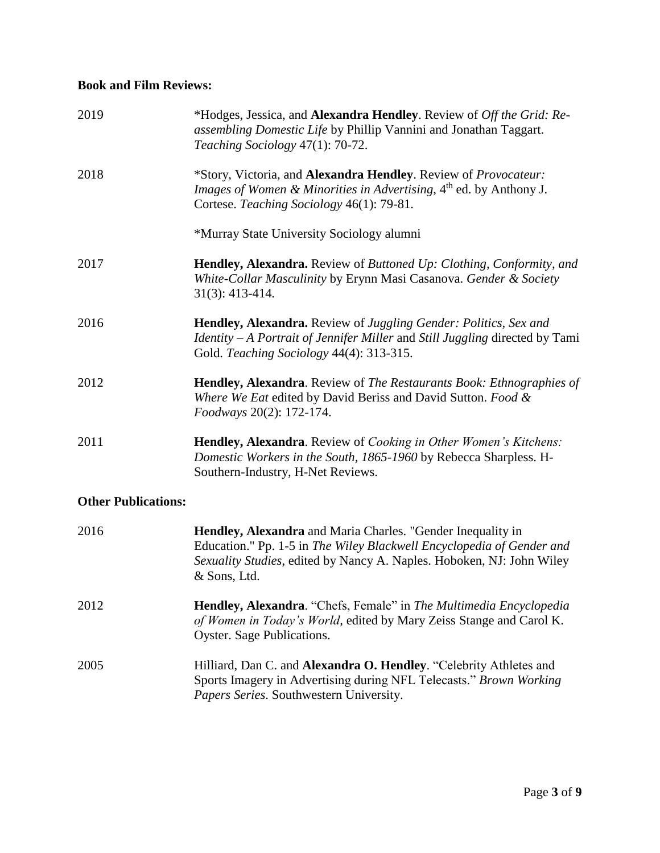### **Book and Film Reviews:**

| 2019 | *Hodges, Jessica, and Alexandra Hendley. Review of Off the Grid: Re-<br>assembling Domestic Life by Phillip Vannini and Jonathan Taggart.<br>Teaching Sociology 47(1): 70-72.                           |
|------|---------------------------------------------------------------------------------------------------------------------------------------------------------------------------------------------------------|
| 2018 | <i>*Story, Victoria, and Alexandra Hendley. Review of Provocateur:</i><br><i>Images of Women &amp; Minorities in Advertising</i> , $4th$ ed. by Anthony J.<br>Cortese. Teaching Sociology 46(1): 79-81. |
|      | *Murray State University Sociology alumni                                                                                                                                                               |
| 2017 | Hendley, Alexandra. Review of Buttoned Up: Clothing, Conformity, and<br>White-Collar Masculinity by Erynn Masi Casanova. Gender & Society<br>$31(3): 413-414.$                                          |
| 2016 | Hendley, Alexandra. Review of Juggling Gender: Politics, Sex and<br>Identity - A Portrait of Jennifer Miller and Still Juggling directed by Tami<br>Gold. Teaching Sociology 44(4): 313-315.            |
| 2012 | <b>Hendley, Alexandra.</b> Review of The Restaurants Book: Ethnographies of<br>Where We Eat edited by David Beriss and David Sutton. Food &<br>Foodways 20(2): 172-174.                                 |
| 2011 | Hendley, Alexandra. Review of Cooking in Other Women's Kitchens:<br>Domestic Workers in the South, 1865-1960 by Rebecca Sharpless. H-<br>Southern-Industry, H-Net Reviews.                              |

### **Other Publications:**

| 2016 | Hendley, Alexandra and Maria Charles. "Gender Inequality in<br>Education." Pp. 1-5 in The Wiley Blackwell Encyclopedia of Gender and<br>Sexuality Studies, edited by Nancy A. Naples. Hoboken, NJ: John Wiley<br>& Sons, Ltd. |
|------|-------------------------------------------------------------------------------------------------------------------------------------------------------------------------------------------------------------------------------|
| 2012 | <b>Hendley, Alexandra</b> . "Chefs, Female" in <i>The Multimedia Encyclopedia</i><br>of Women in Today's World, edited by Mary Zeiss Stange and Carol K.<br>Oyster. Sage Publications.                                        |
| 2005 | Hilliard, Dan C. and Alexandra O. Hendley. "Celebrity Athletes and<br>Sports Imagery in Advertising during NFL Telecasts." Brown Working<br>Papers Series. Southwestern University.                                           |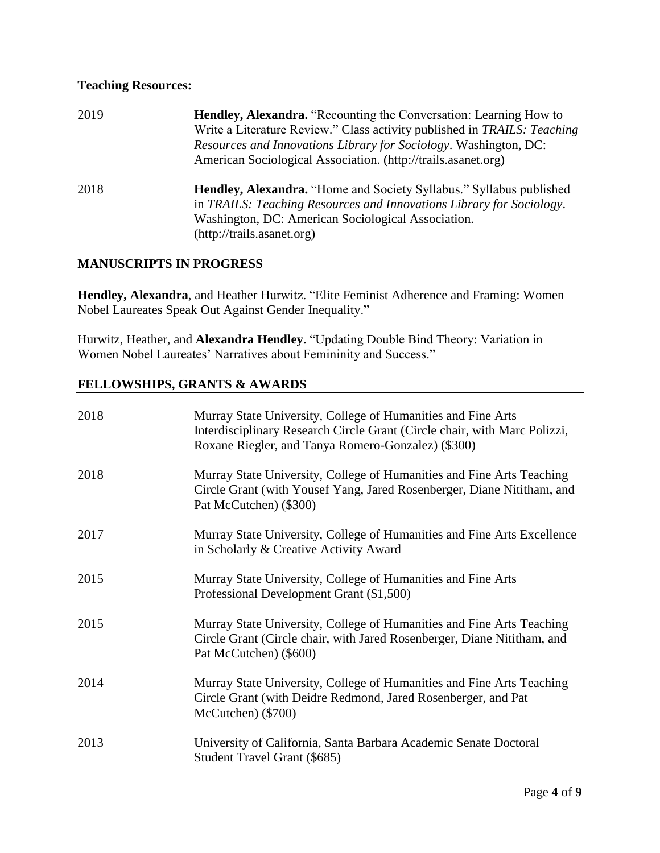### **Teaching Resources:**

| 2019 | <b>Hendley, Alexandra.</b> "Recounting the Conversation: Learning How to<br>Write a Literature Review." Class activity published in TRAILS: Teaching<br><i>Resources and Innovations Library for Sociology.</i> Washington, DC:<br>American Sociological Association. (http://trails.asanet.org) |
|------|--------------------------------------------------------------------------------------------------------------------------------------------------------------------------------------------------------------------------------------------------------------------------------------------------|
| 2018 | <b>Hendley, Alexandra.</b> "Home and Society Syllabus." Syllabus published<br>in TRAILS: Teaching Resources and Innovations Library for Sociology.<br>Washington, DC: American Sociological Association.<br>(http://trails.asanet.org)                                                           |

#### **MANUSCRIPTS IN PROGRESS**

**Hendley, Alexandra**, and Heather Hurwitz. "Elite Feminist Adherence and Framing: Women Nobel Laureates Speak Out Against Gender Inequality."

Hurwitz, Heather, and **Alexandra Hendley**. "Updating Double Bind Theory: Variation in Women Nobel Laureates' Narratives about Femininity and Success."

#### **FELLOWSHIPS, GRANTS & AWARDS**

| 2018 | Murray State University, College of Humanities and Fine Arts<br>Interdisciplinary Research Circle Grant (Circle chair, with Marc Polizzi,<br>Roxane Riegler, and Tanya Romero-Gonzalez) (\$300) |
|------|-------------------------------------------------------------------------------------------------------------------------------------------------------------------------------------------------|
| 2018 | Murray State University, College of Humanities and Fine Arts Teaching<br>Circle Grant (with Yousef Yang, Jared Rosenberger, Diane Nititham, and<br>Pat McCutchen) (\$300)                       |
| 2017 | Murray State University, College of Humanities and Fine Arts Excellence<br>in Scholarly & Creative Activity Award                                                                               |
| 2015 | Murray State University, College of Humanities and Fine Arts<br>Professional Development Grant (\$1,500)                                                                                        |
| 2015 | Murray State University, College of Humanities and Fine Arts Teaching<br>Circle Grant (Circle chair, with Jared Rosenberger, Diane Nititham, and<br>Pat McCutchen) (\$600)                      |
| 2014 | Murray State University, College of Humanities and Fine Arts Teaching<br>Circle Grant (with Deidre Redmond, Jared Rosenberger, and Pat<br>McCutchen) (\$700)                                    |
| 2013 | University of California, Santa Barbara Academic Senate Doctoral<br>Student Travel Grant (\$685)                                                                                                |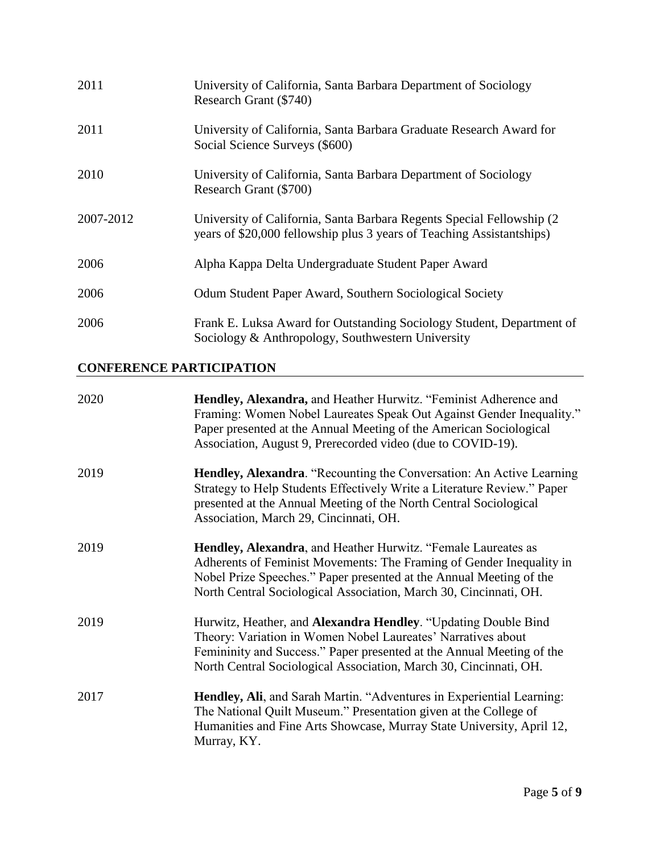| 2011      | University of California, Santa Barbara Department of Sociology<br>Research Grant (\$740)                                                       |
|-----------|-------------------------------------------------------------------------------------------------------------------------------------------------|
| 2011      | University of California, Santa Barbara Graduate Research Award for<br>Social Science Surveys (\$600)                                           |
| 2010      | University of California, Santa Barbara Department of Sociology<br>Research Grant (\$700)                                                       |
| 2007-2012 | University of California, Santa Barbara Regents Special Fellowship (2)<br>years of \$20,000 fellowship plus 3 years of Teaching Assistantships) |
| 2006      | Alpha Kappa Delta Undergraduate Student Paper Award                                                                                             |
| 2006      | Odum Student Paper Award, Southern Sociological Society                                                                                         |
| 2006      | Frank E. Luksa Award for Outstanding Sociology Student, Department of<br>Sociology & Anthropology, Southwestern University                      |

### **CONFERENCE PARTICIPATION**

| 2020 | Hendley, Alexandra, and Heather Hurwitz. "Feminist Adherence and<br>Framing: Women Nobel Laureates Speak Out Against Gender Inequality."<br>Paper presented at the Annual Meeting of the American Sociological<br>Association, August 9, Prerecorded video (due to COVID-19).        |
|------|--------------------------------------------------------------------------------------------------------------------------------------------------------------------------------------------------------------------------------------------------------------------------------------|
| 2019 | Hendley, Alexandra. "Recounting the Conversation: An Active Learning<br>Strategy to Help Students Effectively Write a Literature Review." Paper<br>presented at the Annual Meeting of the North Central Sociological<br>Association, March 29, Cincinnati, OH.                       |
| 2019 | Hendley, Alexandra, and Heather Hurwitz. "Female Laureates as<br>Adherents of Feminist Movements: The Framing of Gender Inequality in<br>Nobel Prize Speeches." Paper presented at the Annual Meeting of the<br>North Central Sociological Association, March 30, Cincinnati, OH.    |
| 2019 | Hurwitz, Heather, and <b>Alexandra Hendley</b> . "Updating Double Bind<br>Theory: Variation in Women Nobel Laureates' Narratives about<br>Femininity and Success." Paper presented at the Annual Meeting of the<br>North Central Sociological Association, March 30, Cincinnati, OH. |
| 2017 | Hendley, Ali, and Sarah Martin. "Adventures in Experiential Learning:<br>The National Quilt Museum." Presentation given at the College of<br>Humanities and Fine Arts Showcase, Murray State University, April 12,<br>Murray, KY.                                                    |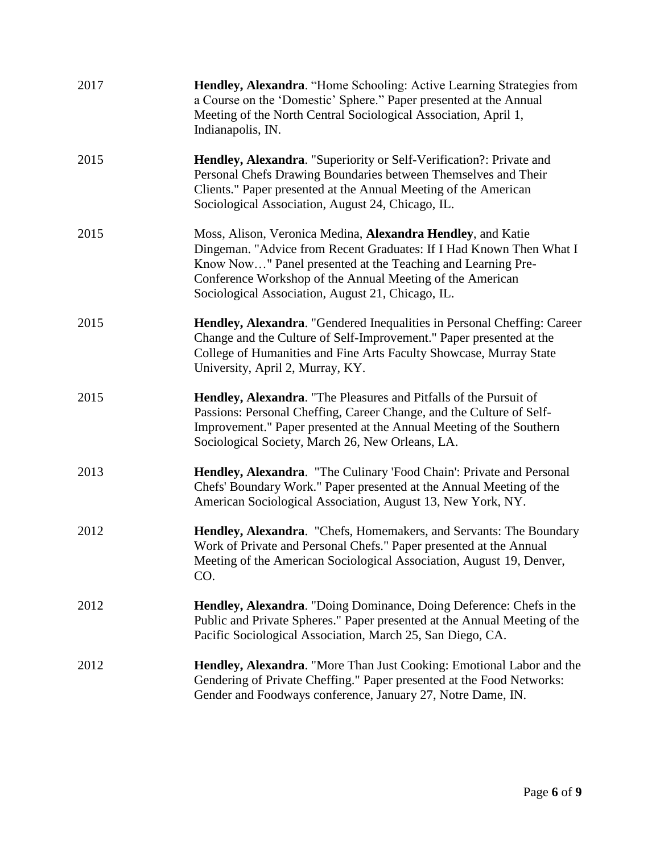| 2017 | Hendley, Alexandra. "Home Schooling: Active Learning Strategies from<br>a Course on the 'Domestic' Sphere." Paper presented at the Annual<br>Meeting of the North Central Sociological Association, April 1,<br>Indianapolis, IN.                                                                                   |
|------|---------------------------------------------------------------------------------------------------------------------------------------------------------------------------------------------------------------------------------------------------------------------------------------------------------------------|
| 2015 | Hendley, Alexandra. "Superiority or Self-Verification?: Private and<br>Personal Chefs Drawing Boundaries between Themselves and Their<br>Clients." Paper presented at the Annual Meeting of the American<br>Sociological Association, August 24, Chicago, IL.                                                       |
| 2015 | Moss, Alison, Veronica Medina, Alexandra Hendley, and Katie<br>Dingeman. "Advice from Recent Graduates: If I Had Known Then What I<br>Know Now" Panel presented at the Teaching and Learning Pre-<br>Conference Workshop of the Annual Meeting of the American<br>Sociological Association, August 21, Chicago, IL. |
| 2015 | Hendley, Alexandra. "Gendered Inequalities in Personal Cheffing: Career<br>Change and the Culture of Self-Improvement." Paper presented at the<br>College of Humanities and Fine Arts Faculty Showcase, Murray State<br>University, April 2, Murray, KY.                                                            |
| 2015 | Hendley, Alexandra. "The Pleasures and Pitfalls of the Pursuit of<br>Passions: Personal Cheffing, Career Change, and the Culture of Self-<br>Improvement." Paper presented at the Annual Meeting of the Southern<br>Sociological Society, March 26, New Orleans, LA.                                                |
| 2013 | Hendley, Alexandra. "The Culinary 'Food Chain': Private and Personal<br>Chefs' Boundary Work." Paper presented at the Annual Meeting of the<br>American Sociological Association, August 13, New York, NY.                                                                                                          |
| 2012 | Hendley, Alexandra. "Chefs, Homemakers, and Servants: The Boundary<br>Work of Private and Personal Chefs." Paper presented at the Annual<br>Meeting of the American Sociological Association, August 19, Denver,<br>CO.                                                                                             |
| 2012 | <b>Hendley, Alexandra.</b> "Doing Dominance, Doing Deference: Chefs in the<br>Public and Private Spheres." Paper presented at the Annual Meeting of the<br>Pacific Sociological Association, March 25, San Diego, CA.                                                                                               |
| 2012 | Hendley, Alexandra. "More Than Just Cooking: Emotional Labor and the<br>Gendering of Private Cheffing." Paper presented at the Food Networks:<br>Gender and Foodways conference, January 27, Notre Dame, IN.                                                                                                        |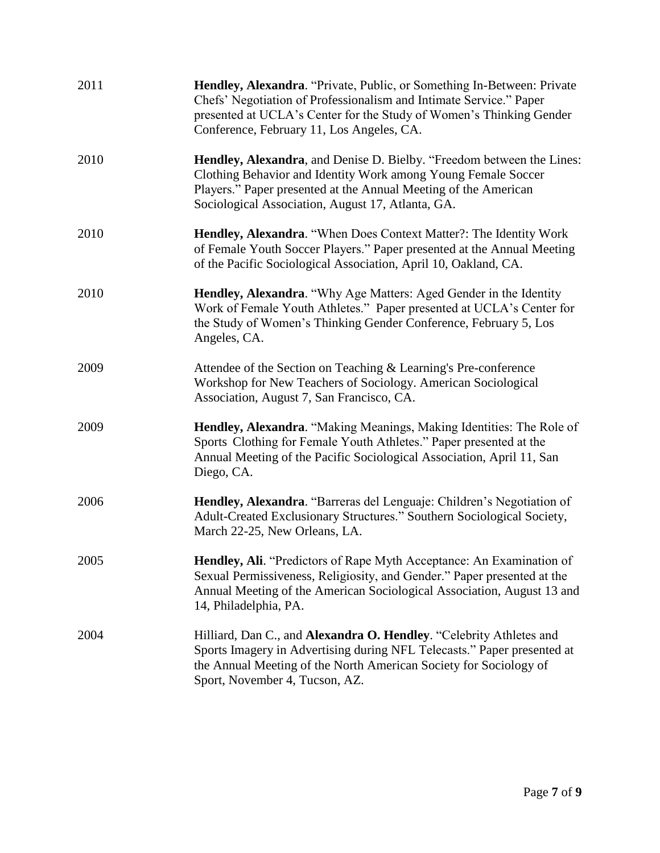| 2011 | Hendley, Alexandra. "Private, Public, or Something In-Between: Private<br>Chefs' Negotiation of Professionalism and Intimate Service." Paper<br>presented at UCLA's Center for the Study of Women's Thinking Gender<br>Conference, February 11, Los Angeles, CA.      |
|------|-----------------------------------------------------------------------------------------------------------------------------------------------------------------------------------------------------------------------------------------------------------------------|
| 2010 | <b>Hendley, Alexandra, and Denise D. Bielby. "Freedom between the Lines:</b><br>Clothing Behavior and Identity Work among Young Female Soccer<br>Players." Paper presented at the Annual Meeting of the American<br>Sociological Association, August 17, Atlanta, GA. |
| 2010 | Hendley, Alexandra. "When Does Context Matter?: The Identity Work<br>of Female Youth Soccer Players." Paper presented at the Annual Meeting<br>of the Pacific Sociological Association, April 10, Oakland, CA.                                                        |
| 2010 | Hendley, Alexandra. "Why Age Matters: Aged Gender in the Identity<br>Work of Female Youth Athletes." Paper presented at UCLA's Center for<br>the Study of Women's Thinking Gender Conference, February 5, Los<br>Angeles, CA.                                         |
| 2009 | Attendee of the Section on Teaching & Learning's Pre-conference<br>Workshop for New Teachers of Sociology. American Sociological<br>Association, August 7, San Francisco, CA.                                                                                         |
| 2009 | Hendley, Alexandra. "Making Meanings, Making Identities: The Role of<br>Sports Clothing for Female Youth Athletes." Paper presented at the<br>Annual Meeting of the Pacific Sociological Association, April 11, San<br>Diego, CA.                                     |
| 2006 | Hendley, Alexandra. "Barreras del Lenguaje: Children's Negotiation of<br>Adult-Created Exclusionary Structures." Southern Sociological Society,<br>March 22-25, New Orleans, LA.                                                                                      |
| 2005 | Hendley, Ali. "Predictors of Rape Myth Acceptance: An Examination of<br>Sexual Permissiveness, Religiosity, and Gender." Paper presented at the<br>Annual Meeting of the American Sociological Association, August 13 and<br>14, Philadelphia, PA.                    |
| 2004 | Hilliard, Dan C., and Alexandra O. Hendley. "Celebrity Athletes and<br>Sports Imagery in Advertising during NFL Telecasts." Paper presented at<br>the Annual Meeting of the North American Society for Sociology of<br>Sport, November 4, Tucson, AZ.                 |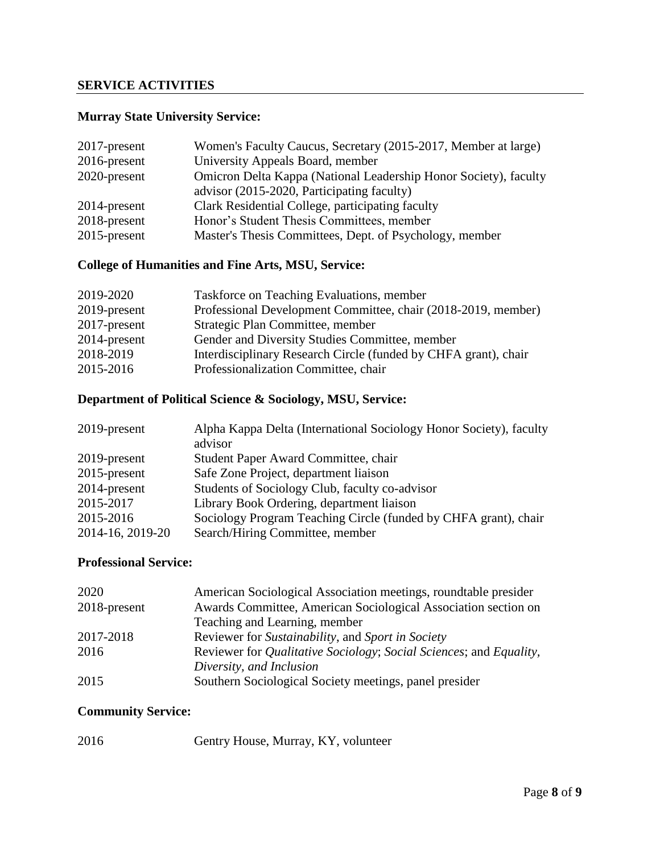### **SERVICE ACTIVITIES**

### **Murray State University Service:**

| 2017-present    | Women's Faculty Caucus, Secretary (2015-2017, Member at large)   |
|-----------------|------------------------------------------------------------------|
| $2016$ -present | University Appeals Board, member                                 |
| 2020-present    | Omicron Delta Kappa (National Leadership Honor Society), faculty |
|                 | advisor (2015-2020, Participating faculty)                       |
| 2014-present    | Clark Residential College, participating faculty                 |
| $2018$ -present | Honor's Student Thesis Committees, member                        |
| $2015$ -present | Master's Thesis Committees, Dept. of Psychology, member          |

### **College of Humanities and Fine Arts, MSU, Service:**

| 2019-2020    | Taskforce on Teaching Evaluations, member                       |
|--------------|-----------------------------------------------------------------|
| 2019-present | Professional Development Committee, chair (2018-2019, member)   |
| 2017-present | Strategic Plan Committee, member                                |
| 2014-present | Gender and Diversity Studies Committee, member                  |
| 2018-2019    | Interdisciplinary Research Circle (funded by CHFA grant), chair |
| 2015-2016    | Professionalization Committee, chair                            |

### **Department of Political Science & Sociology, MSU, Service:**

| 2019-present     | Alpha Kappa Delta (International Sociology Honor Society), faculty<br>advisor |
|------------------|-------------------------------------------------------------------------------|
| 2019-present     | Student Paper Award Committee, chair                                          |
| $2015$ -present  | Safe Zone Project, department liaison                                         |
| 2014-present     | Students of Sociology Club, faculty co-advisor                                |
| 2015-2017        | Library Book Ordering, department liaison                                     |
| 2015-2016        | Sociology Program Teaching Circle (funded by CHFA grant), chair               |
| 2014-16, 2019-20 | Search/Hiring Committee, member                                               |

#### **Professional Service:**

| 2020         | American Sociological Association meetings, roundtable presider                            |
|--------------|--------------------------------------------------------------------------------------------|
| 2018-present | Awards Committee, American Sociological Association section on                             |
|              | Teaching and Learning, member                                                              |
| 2017-2018    | Reviewer for Sustainability, and Sport in Society                                          |
| 2016         | Reviewer for <i>Qualitative Sociology</i> ; <i>Social Sciences</i> ; and <i>Equality</i> , |
|              | Diversity, and Inclusion                                                                   |
| 2015         | Southern Sociological Society meetings, panel presider                                     |

### **Community Service:**

| 2016 | Gentry House, Murray, KY, volunteer |
|------|-------------------------------------|
|------|-------------------------------------|